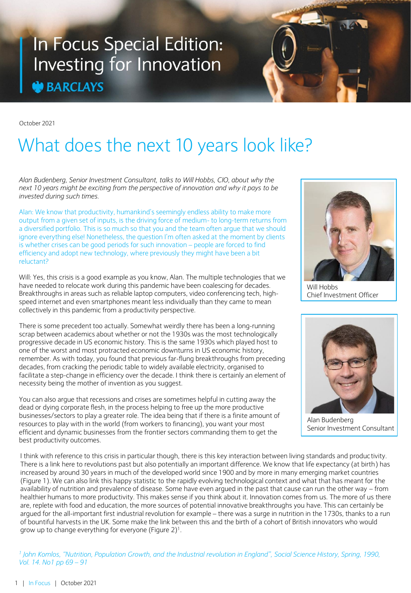## In Focus Special Edition: Investing for Innovation **BARCLAYS**

October 2021

# What does the next 10 years look like?

*Alan Budenberg, Senior Investment Consultant, talks to Will Hobbs, CIO, about why the next 10 years might be exciting from the perspective of innovation and why it pays to be invested during such times.* 

Alan: We know that productivity, humankind's seemingly endless ability to make more output from a given set of inputs, is the driving force of medium- to long-term returns from a diversified portfolio. This is so much so that you and the team often argue that we should ignore everything else! Nonetheless, the question I'm often asked at the moment by clients is whether crises can be good periods for such innovation – people are forced to find efficiency and adopt new technology, where previously they might have been a bit reluctant?

Will: Yes, this crisis is a good example as you know, Alan. The multiple technologies that we have needed to relocate work during this pandemic have been coalescing for decades. Breakthroughs in areas such as reliable laptop computers, video conferencing tech, highspeed internet and even smartphones meant less individually than they came to mean collectively in this pandemic from a productivity perspective.

There is some precedent too actually. Somewhat weirdly there has been a long-running scrap between academics about whether or not the 1930s was the most technologically progressive decade in US economic history. This is the same 1930s which played host to one of the worst and most protracted economic downturns in US economic history, remember. As with today, you found that previous far-flung breakthroughs from preceding decades, from cracking the periodic table to widely available electricity, organised to facilitate a step-change in efficiency over the decade. I think there is certainly an element of necessity being the mother of invention as you suggest.

You can also argue that recessions and crises are sometimes helpful in cutting away the dead or dying corporate flesh, in the process helping to free up the more productive businesses/sectors to play a greater role. The idea being that if there is a finite amount of resources to play with in the world (from workers to financing), you want your most efficient and dynamic businesses from the frontier sectors commanding them to get the best productivity outcomes.



Will Hobbs Chief Investment Officer



Alan Budenberg Senior Investment Consultant

I think with reference to this crisis in particular though, there is this key interaction between living standards and productivity. There is a link here to revolutions past but also potentially an important difference. We know that life expectancy (at birth) has increased by around 30 years in much of the developed world since 1900 and by more in many emerging market countries (Figure 1). We can also link this happy statistic to the rapidly evolving technological context and what that has meant for the availability of nutrition and prevalence of disease. Some have even argued in the past that cause can run the other way – from healthier humans to more productivity. This makes sense if you think about it. Innovation comes from us. The more of us there are, replete with food and education, the more sources of potential innovative breakthroughs you have. This can certainly be argued for the all-important first industrial revolution for example – there was a surge in nutrition in the 1730s, thanks to a run of bountiful harvests in the UK. Some make the link between this and the birth of a cohort of British innovators who would grow up to change everything for everyone (Figure 2)<sup>1</sup>.

*1 John Komlos, "Nutrition, Population Growth, and the Industrial revolution in England", Social Science History, Spring, 1990, Vol. 14. No1 pp 69 – 91*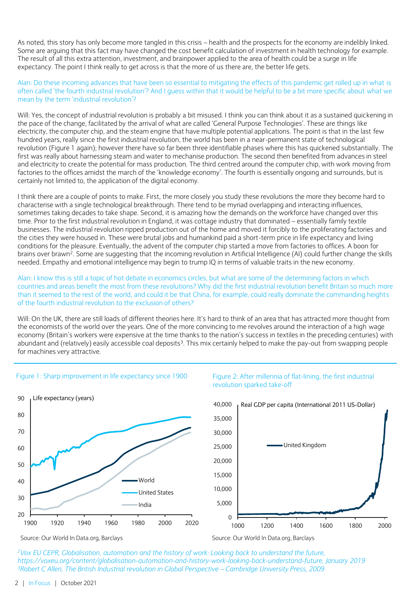As noted, this story has only become more tangled in this crisis – health and the prospects for the economy are indelibly linked. Some are arguing that this fact may have changed the cost benefit calculation of investment in health technology for example. The result of all this extra attention, investment, and brainpower applied to the area of health could be a surge in life expectancy. The point I think really to get across is that the more of us there are, the better life gets.

Alan: Do these incoming advances that have been so essential to mitigating the effects of this pandemic get rolled up in what is often called 'the fourth industrial revolution'? And I guess within that it would be helpful to be a bit more specific about what we mean by the term 'industrial revolution'?

Will: Yes, the concept of industrial revolution is probably a bit misused. I think you can think about it as a sustained quickening in the pace of the change, facilitated by the arrival of what are called 'General Purpose Technologies'. These are things like electricity, the computer chip, and the steam engine that have multiple potential applications. The point is that in the last few hundred years, really since the first industrial revolution, the world has been in a near-permanent state of technological revolution (Figure 1 again); however there have so far been three identifiable phases where this has quickened substantially. The first was really about harnessing steam and water to mechanise production. The second then benefited from advances in steel and electricity to create the potential for mass production. The third centred around the computer chip, with work moving from factories to the offices amidst the march of the 'knowledge economy'. The fourth is essentially ongoing and surrounds, but is certainly not limited to, the application of the digital economy.

I think there are a couple of points to make. First, the more closely you study these revolutions the more they become hard to characterise with a single technological breakthrough. There tend to be myriad overlapping and interacting influences, sometimes taking decades to take shape. Second, it is amazing how the demands on the workforce have changed over this time. Prior to the first industrial revolution in England, it was cottage industry that dominated – essentially family textile businesses. The industrial revolution ripped production out of the home and moved it forcibly to the proliferating factories and the cities they were housed in. These were brutal jobs and humankind paid a short-term price in life expectancy and living conditions for the pleasure. Eventually, the advent of the computer chip started a move from factories to offices. A boon for brains over brawn<sup>2</sup>. Some are suggesting that the incoming revolution in Artificial Intelligence (AI) could further change the skills needed. Empathy and emotional intelligence may begin to trump IQ in terms of valuable traits in the new economy.

Alan: I know this is still a topic of hot debate in economics circles, but what are some of the determining factors in which countries and areas benefit the most from these revolutions? Why did the first industrial revolution benefit Britain so much more than it seemed to the rest of the world, and could it be that China, for example, could really dominate the commanding heights of the fourth industrial revolution to the exclusion of others?

Will: On the UK, there are still loads of different theories here. It's hard to think of an area that has attracted more thought from the economists of the world over the years. One of the more convincing to me revolves around the interaction of a high wage economy (Britain's workers were expensive at the time thanks to the nation's success in textiles in the preceding centuries) with abundant and (relatively) easily accessible coal deposits<sup>3</sup>. This mix certainly helped to make the pay-out from swapping people for machines very attractive.



#### Figure 1: Sharp improvement in life expectancy since 1900



Figure 2: After millennia of flat-lining, the first industrial revolution sparked take-off

*<sup>2</sup>Vox EU CEPR, Globalisation, automation and the history of work: Looking back to understand the future, https://voxeu.org/content/globalisation-automation-and-history-work-looking-back-understand-future, January 2019 <sup>3</sup>Robert C Allen, The British Industrial revolution in Global Perspective – Cambridge University Press, 2009*

Source: Our World In Data.org, Barclays

Source: Our World In Data.org, Barclays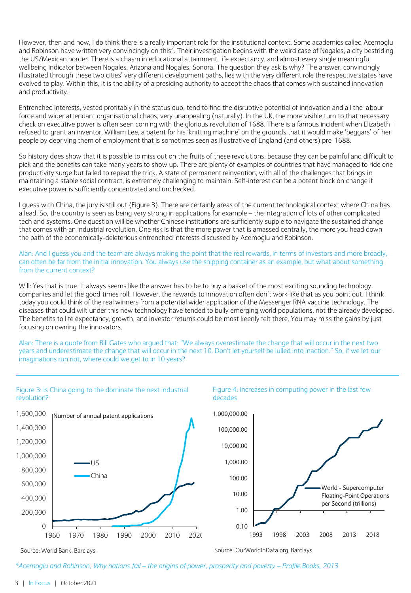However, then and now, I do think there is a really important role for the institutional context. Some academics called Acemoglu and Robinson have written very convincingly on this<sup>4</sup>. Their investigation begins with the weird case of Nogales, a city bestriding the US/Mexican border. There is a chasm in educational attainment, life expectancy, and almost every single meaningful wellbeing indicator between Nogales, Arizona and Nogales, Sonora. The question they ask is why? The answer, convincingly illustrated through these two cities' very different development paths, lies with the very different role the respective states have evolved to play. Within this, it is the ability of a presiding authority to accept the chaos that comes with sustained innovation and productivity.

Entrenched interests, vested profitably in the status quo, tend to find the disruptive potential of innovation and all the labour force and wider attendant organisational chaos, very unappealing (naturally). In the UK, the more visible turn to that necessary check on executive power is often seen coming with the glorious revolution of 1688. There is a famous incident when Elizabeth I refused to grant an inventor, William Lee, a patent for his 'knitting machine' on the grounds that it would make 'beggars' of her people by depriving them of employment that is sometimes seen as illustrative of England (and others) pre-1688.

So history does show that it is possible to miss out on the fruits of these revolutions, because they can be painful and difficult to pick and the benefits can take many years to show up. There are plenty of examples of countries that have managed to ride one productivity surge but failed to repeat the trick. A state of permanent reinvention, with all of the challenges that brings in maintaining a stable social contract, is extremely challenging to maintain. Self-interest can be a potent block on change if executive power is sufficiently concentrated and unchecked.

I guess with China, the jury is still out (Figure 3). There are certainly areas of the current technological context where China has a lead. So, the country is seen as being very strong in applications for example – the integration of lots of other complicated tech and systems. One question will be whether Chinese institutions are sufficiently supple to navigate the sustained change that comes with an industrial revolution. One risk is that the more power that is amassed centrally, the more you head down the path of the economically-deleterious entrenched interests discussed by Acemoglu and Robinson.

Alan: And I guess you and the team are always making the point that the real rewards, in terms of investors and more broadly, can often be far from the initial innovation. You always use the shipping container as an example, but what about something from the current context?

Will: Yes that is true. It always seems like the answer has to be to buy a basket of the most exciting sounding technology companies and let the good times roll. However, the rewards to innovation often don't work like that as you point out. I think today you could think of the real winners from a potential wider application of the Messenger RNA vaccine technology. The diseases that could wilt under this new technology have tended to bully emerging world populations, not the already developed. The benefits to life expectancy, growth, and investor returns could be most keenly felt there. You may miss the gains by just focusing on owning the innovators.

Alan: There is a quote from Bill Gates who argued that: "We always overestimate the change that will occur in the next two years and underestimate the change that will occur in the next 10. Don't let yourself be lulled into inaction." So, if we let our imaginations run riot, where could we get to in 10 years?



*<sup>4</sup>Acemoglu and Robinson, Why nations fail – the origins of power, prosperity and poverty – Profile Books, 2013*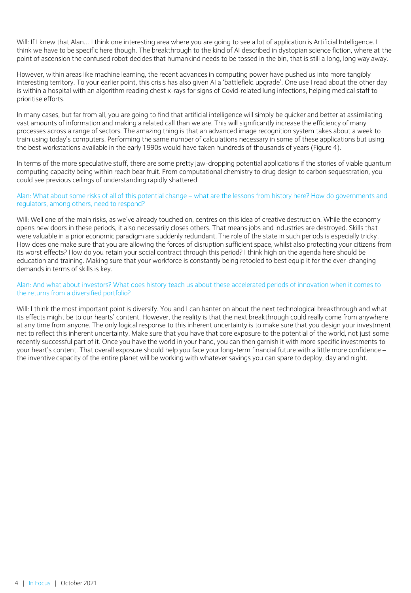Will: If I knew that Alan… I think one interesting area where you are going to see a lot of application is Artificial Intelligence. I think we have to be specific here though. The breakthrough to the kind of AI described in dystopian science fiction, where at the point of ascension the confused robot decides that humankind needs to be tossed in the bin, that is still a long, long way away.

However, within areas like machine learning, the recent advances in computing power have pushed us into more tangibly interesting territory. To your earlier point, this crisis has also given AI a 'battlefield upgrade'. One use I read about the other day is within a hospital with an algorithm reading chest x-rays for signs of Covid-related lung infections, helping medical staff to prioritise efforts.

In many cases, but far from all, you are going to find that artificial intelligence will simply be quicker and better at assimilating vast amounts of information and making a related call than we are. This will significantly increase the efficiency of many processes across a range of sectors. The amazing thing is that an advanced image recognition system takes about a week to train using today's computers. Performing the same number of calculations necessary in some of these applications but using the best workstations available in the early 1990s would have taken hundreds of thousands of years (Figure 4).

In terms of the more speculative stuff, there are some pretty jaw-dropping potential applications if the stories of viable quantum computing capacity being within reach bear fruit. From computational chemistry to drug design to carbon sequestration, you could see previous ceilings of understanding rapidly shattered.

#### Alan: What about some risks of all of this potential change – what are the lessons from history here? How do governments and regulators, among others, need to respond?

Will: Well one of the main risks, as we've already touched on, centres on this idea of creative destruction. While the economy opens new doors in these periods, it also necessarily closes others. That means jobs and industries are destroyed. Skills that were valuable in a prior economic paradigm are suddenly redundant. The role of the state in such periods is especially tricky. How does one make sure that you are allowing the forces of disruption sufficient space, whilst also protecting your citizens from its worst effects? How do you retain your social contract through this period? I think high on the agenda here should be education and training. Making sure that your workforce is constantly being retooled to best equip it for the ever-changing demands in terms of skills is key.

#### Alan: And what about investors? What does history teach us about these accelerated periods of innovation when it comes to the returns from a diversified portfolio?

Will: I think the most important point is diversify. You and I can banter on about the next technological breakthrough and what its effects might be to our hearts' content. However, the reality is that the next breakthrough could really come from anywhere at any time from anyone. The only logical response to this inherent uncertainty is to make sure that you design your investment net to reflect this inherent uncertainty. Make sure that you have that core exposure to the potential of the world, not just some recently successful part of it. Once you have the world in your hand, you can then garnish it with more specific investments to your heart's content. That overall exposure should help you face your long-term financial future with a little more confidence – the inventive capacity of the entire planet will be working with whatever savings you can spare to deploy, day and night.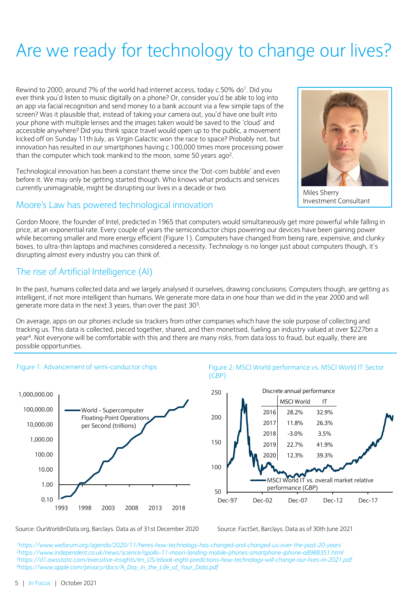# Are we ready for technology to change our lives?

Rewind to 2000; around 7% of the world had internet access, today  $c.50\%$  do<sup>1</sup>. Did you ever think you'd listen to music digitally on a phone? Or, consider you'd be able to log into an app via facial recognition and send money to a bank account via a few simple taps of the screen? Was it plausible that, instead of taking your camera out, you'd have one built into your phone with multiple lenses and the images taken would be saved to the 'cloud' and accessible anywhere? Did you think space travel would open up to the public, a movement kicked off on Sunday 11th July, as Virgin Galactic won the race to space? Probably not, but innovation has resulted in our smartphones having c.100,000 times more processing power than the computer which took mankind to the moon, some 50 years ago<sup>2</sup>.

Technological innovation has been a constant theme since the 'Dot-com bubble' and even before it. We may only be getting started though. Who knows what products and services currently unimaginable, might be disrupting our lives in a decade or two.



Miles Sherry Investment Consultant

## Moore's Law has powered technological innovation

Gordon Moore, the founder of Intel, predicted in 1965 that computers would simultaneously get more powerful while falling in price, at an exponential rate. Every couple of years the semiconductor chips powering our devices have been gaining power while becoming smaller and more energy efficient (Figure 1). Computers have changed from being rare, expensive, and clunky boxes, to ultra-thin laptops and machines considered a necessity. Technology is no longer just about computers though, it's disrupting almost every industry you can think of.

## The rise of Artificial Intelligence (AI)

In the past, humans collected data and we largely analysed it ourselves, drawing conclusions. Computers though, are getting as intelligent, if not more intelligent than humans. We generate more data in one hour than we did in the year 2000 and will generate more data in the next 3 years, than over the past 30<sup>3</sup>.

On average, apps on our phones include six trackers from other companies which have the sole purpose of collecting and tracking us. This data is collected, pieced together, shared, and then monetised, fueling an industry valued at over \$227bn a year<sup>4</sup> . Not everyone will be comfortable with this and there are many risks, from data loss to fraud, but equally, there are possible opportunities.









Source: OurWorldInData.org, Barclays. Data as of 31st December 2020

Source: FactSet, Barclays. Data as of 30th June 2021

*https://www.weforum.org/agenda/2020/11/heres-how-technology-has-changed-and-changed-us-over-the-past-20-years https://www.independent.co.uk/news/science/apollo-11-moon-landing-mobile-phones-smartphone-iphone-a8988351.html https://d1.awsstatic.com/executive-insights/en\_US/ebook-eight-predictions-how-technology-will-change-our-lives-in-2021.pdf https://www.apple.com/privacy/docs/A\_Day\_in\_the\_Life\_of\_Your\_Data.pdf*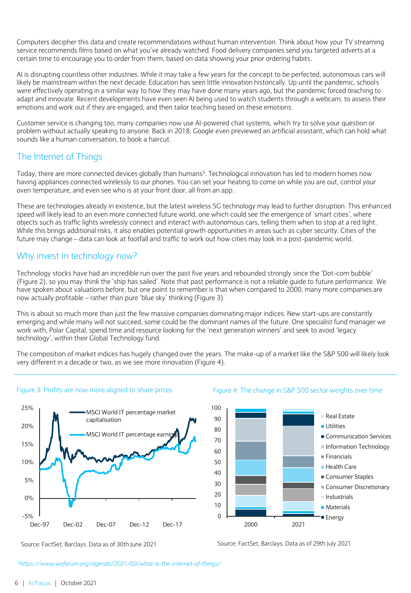Computers decipher this data and create recommendations without human intervention. Think about how your TV streaming service recommends films based on what you've already watched. Food delivery companies send you targeted adverts at a certain time to encourage you to order from them, based on data showing your prior ordering habits.

AI is disrupting countless other industries. While it may take a few years for the concept to be perfected, autonomous cars will likely be mainstream within the next decade. Education has seen little innovation historically. Up until the pandemic, schools were effectively operating in a similar way to how they may have done many years ago, but the pandemic forced teaching to adapt and innovate. Recent developments have even seen AI being used to watch students through a webcam, to assess their emotions and work out if they are engaged, and then tailor teaching based on these emotions.

Customer service is changing too, many companies now use AI-powered chat systems, which try to solve your question or problem without actually speaking to anyone. Back in 2018, Google even previewed an artificial assistant, which can hold what sounds like a human conversation, to book a haircut.

## The Internet of Things

Today, there are more connected devices globally than humans<sup>5</sup>. Technological innovation has led to modern homes now having appliances connected wirelessly to our phones. You can set your heating to come on while you are out, control your oven temperature, and even see who is at your front door, all from an app.

These are technologies already in existence, but the latest wireless 5G technology may lead to further disruption. This enhanced speed will likely lead to an even more connected future world, one which could see the emergence of 'smart cities', where objects such as traffic lights wirelessly connect and interact with autonomous cars, telling them when to stop at a red light. While this brings additional risks, it also enables potential growth opportunities in areas such as cyber security. Cities of the future may change – data can look at footfall and traffic to work out how cities may look in a post-pandemic world.

## Why invest in technology now?

Technology stocks have had an incredible run over the past five years and rebounded strongly since the 'Dot-com bubble' (Figure 2), so you may think the 'ship has sailed'. Note that past performance is not a reliable guide to future performance. We have spoken about valuations before, but one point to remember is that when compared to 2000, many more companies are now actually profitable – rather than pure 'blue sky' thinking (Figure 3).

This is about so much more than just the few massive companies dominating major indices. New start-ups are constantly emerging and while many will not succeed, some could be the dominant names of the future. One specialist fund manager we work with, Polar Capital, spend time and resource looking for the 'next generation winners' and seek to avoid 'legacy technology', within their Global Technology fund.

The composition of market indices has hugely changed over the years. The make-up of a market like the S&P 500 will likely look very different in a decade or two, as we see more innovation (Figure 4).

#### Figure 3: Profits are now more aligned to share prices



#### Figure 4: The change in S&P 500 sector weights over time



Source: FactSet, Barclays. Data as of 29th July 2021

*<sup>5</sup>https://www.weforum.org/agenda/2021/03/what-is-the-internet-of-things/*

Source: FactSet, Barclays. Data as of 30th June 2021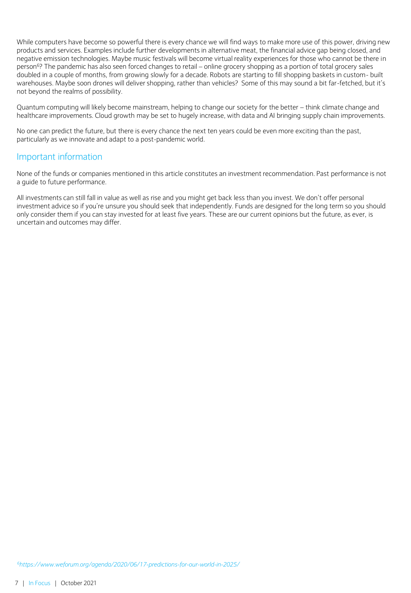While computers have become so powerful there is every chance we will find ways to make more use of this power, driving new products and services. Examples include further developments in alternative meat, the financial advice gap being closed, and negative emission technologies. Maybe music festivals will become virtual reality experiences for those who cannot be there in person<sup>6</sup>? The pandemic has also seen forced changes to retail – online grocery shopping as a portion of total grocery sales doubled in a couple of months, from growing slowly for a decade. Robots are starting to fill shopping baskets in custom- built warehouses. Maybe soon drones will deliver shopping, rather than vehicles? Some of this may sound a bit far-fetched, but it's not beyond the realms of possibility.

Quantum computing will likely become mainstream, helping to change our society for the better – think climate change and healthcare improvements. Cloud growth may be set to hugely increase, with data and AI bringing supply chain improvements.

No one can predict the future, but there is every chance the next ten years could be even more exciting than the past, particularly as we innovate and adapt to a post-pandemic world.

#### Important information

None of the funds or companies mentioned in this article constitutes an investment recommendation. Past performance is not a guide to future performance.

All investments can still fall in value as well as rise and you might get back less than you invest. We don't offer personal investment advice so if you're unsure you should seek that independently. Funds are designed for the long term so you should only consider them if you can stay invested for at least five years. These are our current opinions but the future, as ever, is uncertain and outcomes may differ.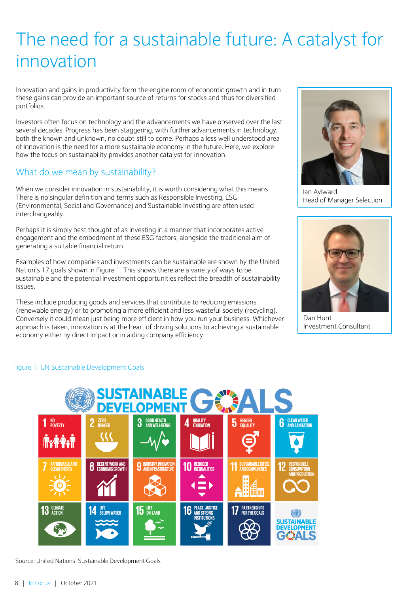## The need for a sustainable future: A catalyst for innovation

Innovation and gains in productivity form the engine room of economic growth and in turn these gains can provide an important source of returns for stocks and thus for diversified portfolios.

Investors often focus on technology and the advancements we have observed over the last several decades. Progress has been staggering, with further advancements in technology, both the known and unknown, no doubt still to come. Perhaps a less well understood area of innovation is the need for a more sustainable economy in the future. Here, we explore how the focus on sustainability provides another catalyst for innovation.

## What do we mean by sustainability?

When we consider innovation in sustainability, it is worth considering what this means. There is no singular definition and terms such as Responsible Investing, ESG (Environmental, Social and Governance) and Sustainable Investing are often used interchangeably.

Perhaps it is simply best thought of as investing in a manner that incorporates active engagement and the embedment of these ESG factors, alongside the traditional aim of generating a suitable financial return.

Examples of how companies and investments can be sustainable are shown by the United Nation's 17 goals shown in Figure 1. This shows there are a variety of ways to be sustainable and the potential investment opportunities reflect the breadth of sustainability issues.

These include producing goods and services that contribute to reducing emissions (renewable energy) or to promoting a more efficient and less wasteful society (recycling). Conversely it could mean just being more efficient in how you run your business. Whichever approach is taken, innovation is at the heart of driving solutions to achieving a sustainable economy either by direct impact or in aiding company efficiency.



Ian Aylward Head of Manager Selection



Dan Hunt Investment Consultant

#### Figure 1: UN Sustainable Development Goals



Source: United Nations Sustainable Development Goals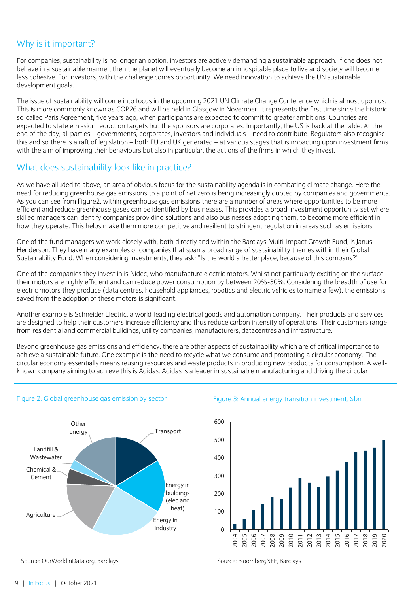## Why is it important?

For companies, sustainability is no longer an option; investors are actively demanding a sustainable approach. If one does not behave in a sustainable manner, then the planet will eventually become an inhospitable place to live and society will become less cohesive. For investors, with the challenge comes opportunity. We need innovation to achieve the UN sustainable development goals.

The issue of sustainability will come into focus in the upcoming 2021 UN Climate Change Conference which is almost upon us. This is more commonly known as COP26 and will be held in Glasgow in November. It represents the first time since the historic so-called Paris Agreement, five years ago, when participants are expected to commit to greater ambitions. Countries are expected to state emission reduction targets but the sponsors are corporates. Importantly, the US is back at the table. At the end of the day, all parties – governments, corporates, investors and individuals – need to contribute. Regulators also recognise this and so there is a raft of legislation – both EU and UK generated – at various stages that is impacting upon investment firms with the aim of improving their behaviours but also in particular, the actions of the firms in which they invest.

## What does sustainability look like in practice?

As we have alluded to above, an area of obvious focus for the sustainability agenda is in combating climate change. Here the need for reducing greenhouse gas emissions to a point of net zero is being increasingly quoted by companies and governments. As you can see from Figure2, within greenhouse gas emissions there are a number of areas where opportunities to be more efficient and reduce greenhouse gases can be identified by businesses. This provides a broad investment opportunity set where skilled managers can identify companies providing solutions and also businesses adopting them, to become more efficient in how they operate. This helps make them more competitive and resilient to stringent regulation in areas such as emissions.

One of the fund managers we work closely with, both directly and within the Barclays Multi-Impact Growth Fund, is Janus Henderson. They have many examples of companies that span a broad range of sustainability themes within their Global Sustainability Fund. When considering investments, they ask: "Is the world a better place, because of this company?"

One of the companies they invest in is Nidec, who manufacture electric motors. Whilst not particularly exciting on the surface, their motors are highly efficient and can reduce power consumption by between 20%-30%. Considering the breadth of use for electric motors they produce (data centres, household appliances, robotics and electric vehicles to name a few), the emissions saved from the adoption of these motors is significant.

Another example is Schneider Electric, a world-leading electrical goods and automation company. Their products and services are designed to help their customers increase efficiency and thus reduce carbon intensity of operations. Their customers range from residential and commercial buildings, utility companies, manufacturers, datacentres and infrastructure.

Beyond greenhouse gas emissions and efficiency, there are other aspects of sustainability which are of critical importance to achieve a sustainable future. One example is the need to recycle what we consume and promoting a circular economy. The circular economy essentially means reusing resources and waste products in producing new products for consumption. A wellknown company aiming to achieve this is Adidas. Adidas is a leader in sustainable manufacturing and driving the circular



#### Figure 2: Global greenhouse gas emission by sector

#### Figure 3: Annual energy transition investment, \$bn



Source: OurWorldInData.org, Barclays

Source: BloombergNEF, Barclays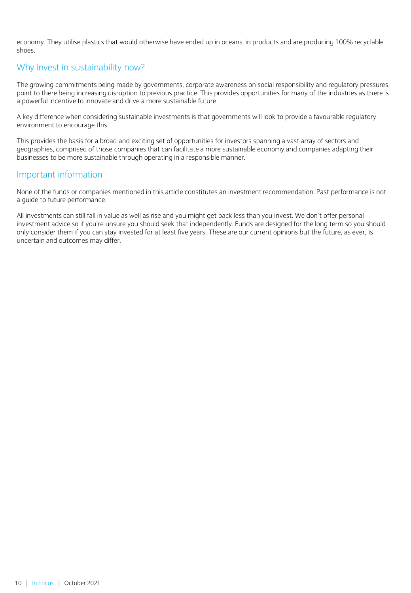economy. They utilise plastics that would otherwise have ended up in oceans, in products and are producing 100% recyclable shoes.

## Why invest in sustainability now?

The growing commitments being made by governments, corporate awareness on social responsibility and regulatory pressures, point to there being increasing disruption to previous practice. This provides opportunities for many of the industries as there is a powerful incentive to innovate and drive a more sustainable future.

A key difference when considering sustainable investments is that governments will look to provide a favourable regulatory environment to encourage this.

This provides the basis for a broad and exciting set of opportunities for investors spanning a vast array of sectors and geographies, comprised of those companies that can facilitate a more sustainable economy and companies adapting their businesses to be more sustainable through operating in a responsible manner.

### Important information

None of the funds or companies mentioned in this article constitutes an investment recommendation. Past performance is not a guide to future performance.

All investments can still fall in value as well as rise and you might get back less than you invest. We don't offer personal investment advice so if you're unsure you should seek that independently. Funds are designed for the long term so you should only consider them if you can stay invested for at least five years. These are our current opinions but the future, as ever, is uncertain and outcomes may differ.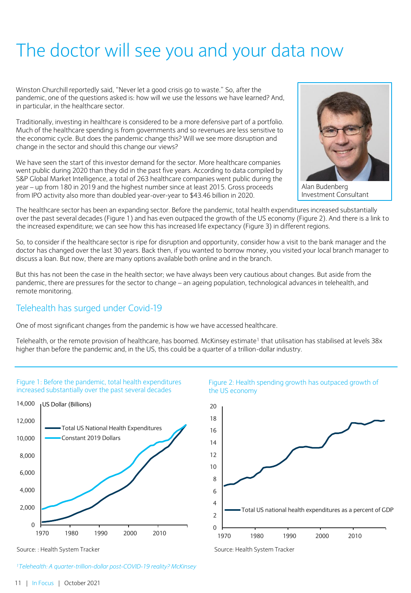## The doctor will see you and your data now

Winston Churchill reportedly said, "Never let a good crisis go to waste." So, after the pandemic, one of the questions asked is: how will we use the lessons we have learned? And, in particular, in the healthcare sector.

Traditionally, investing in healthcare is considered to be a more defensive part of a portfolio. Much of the healthcare spending is from governments and so revenues are less sensitive to the economic cycle. But does the pandemic change this? Will we see more disruption and change in the sector and should this change our views?

We have seen the start of this investor demand for the sector. More healthcare companies went public during 2020 than they did in the past five years. According to data compiled by S&P Global Market Intelligence, a total of 263 healthcare companies went public during the year – up from 180 in 2019 and the highest number since at least 2015. Gross proceeds from IPO activity also more than doubled year-over-year to \$43.46 billion in 2020.



Alan Budenberg Investment Consultant

The healthcare sector has been an expanding sector. Before the pandemic, total health expenditures increased substantially over the past several decades (Figure 1) and has even outpaced the growth of the US economy (Figure 2). And there is a link to the increased expenditure; we can see how this has increased life expectancy (Figure 3) in different regions.

So, to consider if the healthcare sector is ripe for disruption and opportunity, consider how a visit to the bank manager and the doctor has changed over the last 30 years. Back then, if you wanted to borrow money, you visited your local branch manager to discuss a loan. But now, there are many options available both online and in the branch.

But this has not been the case in the health sector; we have always been very cautious about changes. But aside from the pandemic, there are pressures for the sector to change – an ageing population, technological advances in telehealth, and remote monitoring.

## Telehealth has surged under Covid-19

One of most significant changes from the pandemic is how we have accessed healthcare.

Telehealth, or the remote provision of healthcare, has boomed. McKinsey estimate<sup>1</sup> that utilisation has stabilised at levels 38x higher than before the pandemic and, in the US, this could be a quarter of a trillion-dollar industry.



Figure 2: Health spending growth has outpaced growth of the US economy



Source: : Health System Tracker

*<sup>1</sup>Telehealth: A quarter-trillion-dollar post-COVID-19 reality? McKinsey*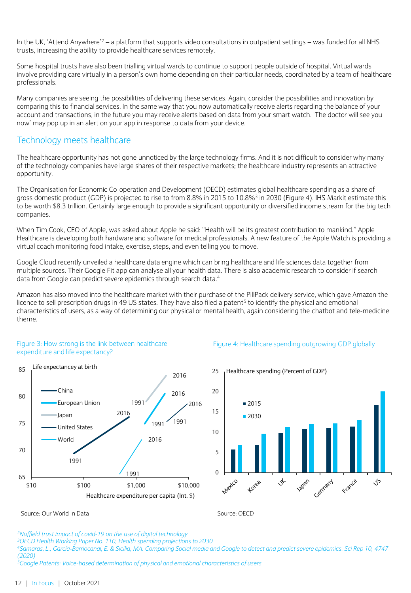In the UK, 'Attend Anywhere'<sup>2</sup> – a platform that supports video consultations in outpatient settings – was funded for all NHS trusts, increasing the ability to provide healthcare services remotely.

Some hospital trusts have also been trialling virtual wards to continue to support people outside of hospital. Virtual wards involve providing care virtually in a person's own home depending on their particular needs, coordinated by a team of healthcare professionals.

Many companies are seeing the possibilities of delivering these services. Again, consider the possibilities and innovation by comparing this to financial services. In the same way that you now automatically receive alerts regarding the balance of your account and transactions, in the future you may receive alerts based on data from your smart watch. 'The doctor will see you now' may pop up in an alert on your app in response to data from your device.

### Technology meets healthcare

The healthcare opportunity has not gone unnoticed by the large technology firms. And it is not difficult to consider why many of the technology companies have large shares of their respective markets; the healthcare industry represents an attractive opportunity.

The Organisation for Economic Co-operation and Development (OECD) estimates global healthcare spending as a share of gross domestic product (GDP) is projected to rise to from 8.8% in 2015 to 10.8%<sup>3</sup> in 2030 (Figure 4). IHS Markit estimate this to be worth \$8.3 trillion. Certainly large enough to provide a significant opportunity or diversified income stream for the big tech companies.

When Tim Cook, CEO of Apple, was asked about Apple he said: "Health will be its greatest contribution to mankind." Apple Healthcare is developing both hardware and software for medical professionals. A new feature of the Apple Watch is providing a virtual coach monitoring food intake, exercise, steps, and even telling you to move.

Google Cloud recently unveiled a healthcare data engine which can bring healthcare and life sciences data together from multiple sources. Their Google Fit app can analyse all your health data. There is also academic research to consider if search data from Google can predict severe epidemics through search data.<sup>4</sup>

Amazon has also moved into the healthcare market with their purchase of the PillPack delivery service, which gave Amazon the licence to sell prescription drugs in 49 US states. They have also filed a patent<sup>5</sup> to identify the physical and emotional characteristics of users, as a way of determining our physical or mental health, again considering the chatbot and tele-medicine theme.

#### Figure 3: How strong is the link between healthcare expenditure and life expectancy?



#### Figure 4: Healthcare spending outgrowing GDP globally

25 Healthcare spending (Percent of GDP)



[Source: Our World In Data](https://ourworldindata.org/financing-healthcare#how-strong-is-the-link-between-healthcare-expenditure-and-life-expectancy)

Source: OECD

*<sup>3</sup>OECD Health Working Paper No. 110, Health spending projections to 2030*

*<sup>4</sup>Samaras, L., García-Barriocanal, E. & Sicilia, MA. Comparing Social media and Google to detect and predict severe epidemics. Sci Rep 10, 4747 (2020)*

*<sup>5</sup>Google Patents: Voice-based determination of physical and emotional characteristics of users* 

*<sup>2</sup>Nuffield trust impact of covid-19 on the use of digital technology*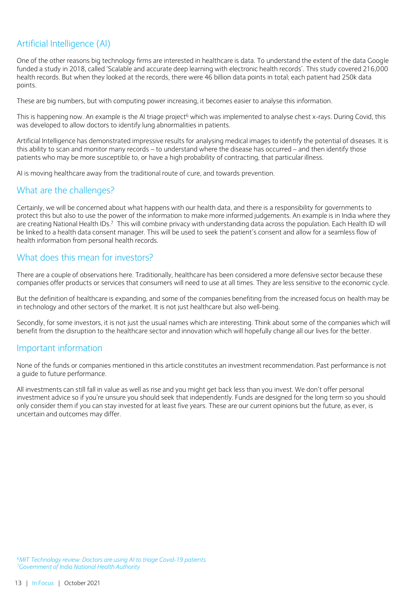## Artificial Intelligence (AI)

One of the other reasons big technology firms are interested in healthcare is data. To understand the extent of the data Google funded a study in 2018, called 'Scalable and accurate deep learning with electronic health records'. This study covered 216,000 health records. But when they looked at the records, there were 46 billion data points in total; each patient had 250k data points.

These are big numbers, but with computing power increasing, it becomes easier to analyse this information.

This is happening now. An example is the AI triage project<sup>6</sup> which was implemented to analyse chest x-rays. During Covid, this was developed to allow doctors to identify lung abnormalities in patients.

Artificial Intelligence has demonstrated impressive results for analysing medical images to identify the potential of diseases. It is this ability to scan and monitor many records – to understand where the disease has occurred – and then identify those patients who may be more susceptible to, or have a high probability of contracting, that particular illness.

AI is moving healthcare away from the traditional route of cure, and towards prevention.

## What are the challenges?

Certainly, we will be concerned about what happens with our health data, and there is a responsibility for governments to protect this but also to use the power of the information to make more informed judgements. An example is in India where they are creating National Health IDs.<sup>7</sup> This will combine privacy with understanding data across the population. Each Health ID will be linked to a health data consent manager. This will be used to seek the patient's consent and allow for a seamless flow of health information from personal health records.

### What does this mean for investors?

There are a couple of observations here. Traditionally, healthcare has been considered a more defensive sector because these companies offer products or services that consumers will need to use at all times. They are less sensitive to the economic cycle.

But the definition of healthcare is expanding, and some of the companies benefiting from the increased focus on health may be in technology and other sectors of the market. It is not just healthcare but also well-being.

Secondly, for some investors, it is not just the usual names which are interesting. Think about some of the companies which will benefit from the disruption to the healthcare sector and innovation which will hopefully change all our lives for the better.

### Important information

None of the funds or companies mentioned in this article constitutes an investment recommendation. Past performance is not a guide to future performance.

All investments can still fall in value as well as rise and you might get back less than you invest. We don't offer personal investment advice so if you're unsure you should seek that independently. Funds are designed for the long term so you should only consider them if you can stay invested for at least five years. These are our current opinions but the future, as ever, is uncertain and outcomes may differ.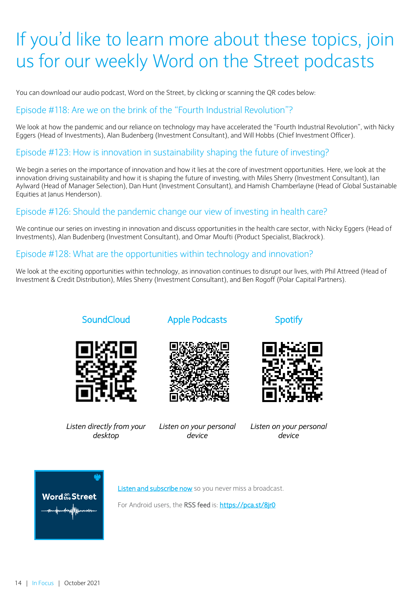## If you'd like to learn more about these topics, join us for our weekly Word on the Street podcasts

You can download our audio podcast, Word on the Street, by clicking or scanning the QR codes below:

## Episode #118: Are we on the brink of the "Fourth Industrial Revolution"?

We look at how the pandemic and our reliance on technology may have accelerated the "Fourth Industrial Revolution", with Nicky Eggers (Head of Investments), Alan Budenberg (Investment Consultant), and Will Hobbs (Chief Investment Officer).

## Episode #123: How is innovation in sustainability shaping the future of investing?

We begin a series on the importance of innovation and how it lies at the core of investment opportunities. Here, we look at the innovation driving sustainability and how it is shaping the future of investing, with Miles Sherry (Investment Consultant), Ian Aylward (Head of Manager Selection), Dan Hunt (Investment Consultant), and Hamish Chamberlayne (Head of Global Sustainable Equities at Janus Henderson).

## Episode #126: Should the pandemic change our view of investing in health care?

We continue our series on investing in innovation and discuss opportunities in the health care sector, with Nicky Eggers (Head of Investments), Alan Budenberg (Investment Consultant), and Omar Moufti (Product Specialist, Blackrock).

## Episode #128: What are the opportunities within technology and innovation?

We look at the exciting opportunities within technology, as innovation continues to disrupt our lives, with Phil Attreed (Head of Investment & Credit Distribution), Miles Sherry (Investment Consultant), and Ben Rogoff (Polar Capital Partners).











*Listen directly from your desktop*

*Listen on your personal device*

*Listen on your personal device*



[Listen and subscribe now](https://soundcloud.com/bukinvest/tracks) so you never miss a broadcast.

For Android users, the RSS feed is: <https://pca.st/8jr0>